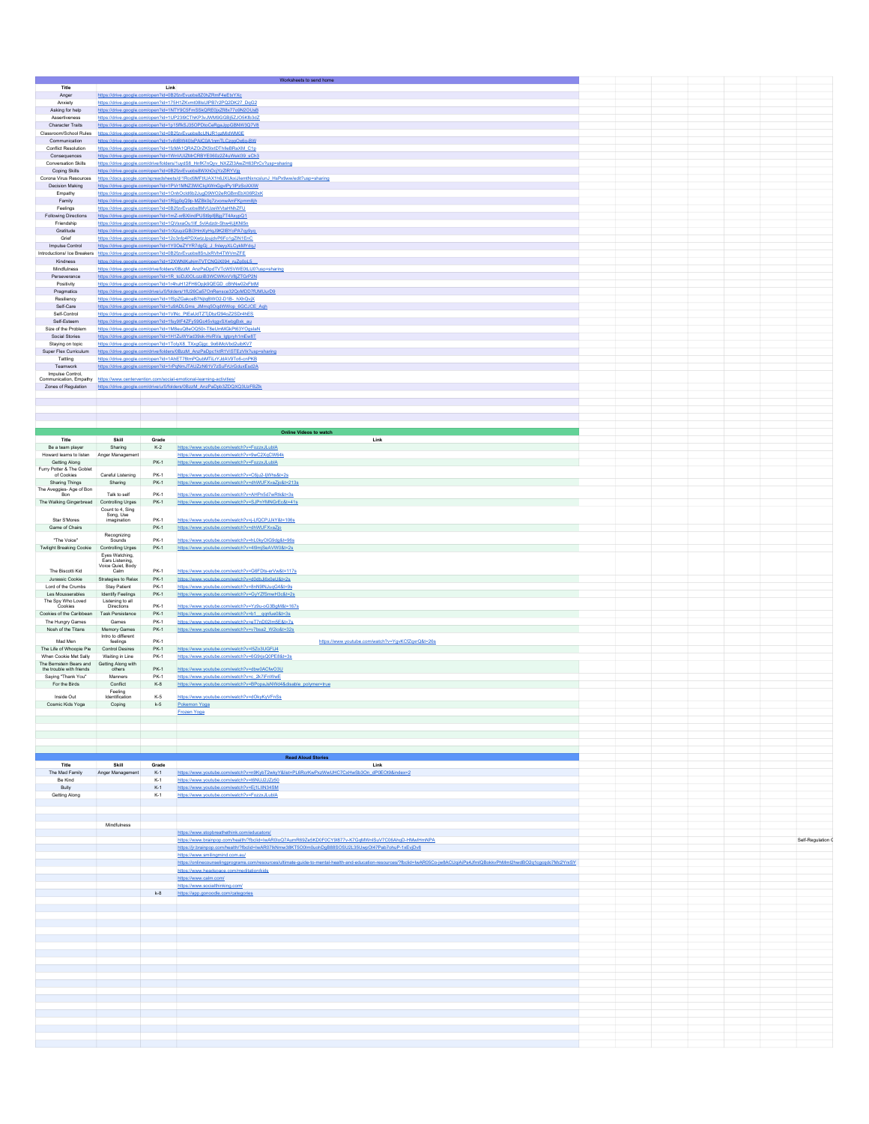|                                                              |                                       |                      | Worksheets to send home                                                                                                                                                                                       |  |  |                   |
|--------------------------------------------------------------|---------------------------------------|----------------------|---------------------------------------------------------------------------------------------------------------------------------------------------------------------------------------------------------------|--|--|-------------------|
| Title<br>Anger                                               |                                       | Link                 | https://drive.google.com/open?id=0B2fzvEvuobs8Z0hZRmF4eEtxYXc                                                                                                                                                 |  |  |                   |
| Anxiety                                                      |                                       |                      | https://drive.google.com/open?id=175H1ZKvmt08lsUIPB7r2PQ2DK27_DqG2                                                                                                                                            |  |  |                   |
| Asking for help                                              |                                       |                      | https://drive.google.com/open?id=1NTY9C5FmSSkQRE0jxZfl8x77o9N2OUsB                                                                                                                                            |  |  |                   |
| Assertiveness<br><b>Character Traits</b>                     |                                       |                      | https://drive.google.com/open?id=1UP23I9CThKP3vJWM9GGBj5ZJO5Kfb3dZ<br>https://drive.google.com/open?id=1p15ffkSJ35OPDtoCeRgaJppGBNW3Q7V8                                                                      |  |  |                   |
|                                                              |                                       |                      | Classroom/School Rules https://drive.google.com/open?id=0B2fzvEvuobs8cUNJR1gzMidWM0E                                                                                                                          |  |  |                   |
| Communication<br>Conflict Resolution                         |                                       |                      | https://drive.google.com/open?id=1vifdBW40IxPAIC0A1nmTLCzggOx6g-BW<br>https://drive.google.com/open?id=1fzMA1QRAZOrZK5txtDThlleBRaXM_C1p                                                                      |  |  |                   |
|                                                              |                                       |                      | Consequences https://drive.google.com/open?id=1WnVUIZMrCRBYE060z2Z4uWskl39_sCh3                                                                                                                               |  |  |                   |
| Conversation Skills                                          |                                       |                      | https://drive.google.com/drive/folders/1uydS8_HnfK7nQyv_NXZZI3AwZH63PrCv?usp=sharing                                                                                                                          |  |  |                   |
| Coping Skills                                                |                                       |                      | https://drive.google.com/open?id=0B2fzvEvuobs8WXhOcjYzZIRYVjg<br>Corona Virus Resources https://docs.google.com/spreadsheets/d/1Rod9MFtIUAX1h6JXUkxiJlemtNxncslunJ_HsPxtWw/edit?usp=sharing                   |  |  |                   |
|                                                              |                                       |                      | Decision Making https://drive.google.com/open?id=1PVr1MNZ3WICIqXWnGgvIPy1IPzSoXXIW                                                                                                                            |  |  |                   |
| Empathy                                                      |                                       |                      | https://drive.google.com/open?id=1OnhOcId6b2JugD9WO2eRGBmEbX06R2xK                                                                                                                                            |  |  |                   |
| Family<br>Feelings                                           |                                       |                      | https://drive.google.com/open?id=1RIjg0qQ9p-MZBk0q7zvonwAmFKpmm8jh<br>https://drive.google.com/open?id=0B2fzvEvuobs8MVUzeWVtaHNhZFU                                                                           |  |  |                   |
| Following Directions                                         |                                       |                      | https://drive.google.com/open?id=1mZ-xrBXlindPUSt9plfjBjg7T4AxypQ1                                                                                                                                            |  |  |                   |
| Friendship                                                   |                                       |                      | https://drive.google.com/open?id=1QVsxaOu1llf_5vlAdzdr-Shw4UjKNl5n                                                                                                                                            |  |  |                   |
| Gratitude<br>Grief                                           |                                       |                      | https://drive.google.com/open?id=1rXzuyzGBi3HmXyHqJ9K2IBYoPA7qy9yq                                                                                                                                            |  |  |                   |
| Impulse Control                                              |                                       |                      | https://drive.google.com/open?id=12o3nfp4PDXwtzJpujdvP6Fo1gZIN1EnC<br>https://drive.google.com/open?id=1Y0OeZYYR7dgGj_J_fnleyyXLCykMYdgJ                                                                      |  |  |                   |
|                                                              |                                       |                      | Introductions/ Ice Breakers https://drive.google.com/open?id=0B2fzvEvuobs8SnJxRVh4TWVmZFE                                                                                                                     |  |  |                   |
| Kindness<br>Mindfulness                                      |                                       |                      | https://drive.google.com/open?id=12XWNIKuhjmTVTCNGIX094_ruZg0pL5_<br>https://drive.google.com/drive/folders/0BzzM_AnzPaDpdTVTcW5VWE0tLU0?usp=sharing                                                          |  |  |                   |
| Perseverance                                                 |                                       |                      | https://drive.google.com/open?id=1R_tciDJ0OLczziB3WCWKnVV8iZTGrP2N                                                                                                                                            |  |  |                   |
| Positivity                                                   |                                       |                      | https://drive.google.com/open?id=1r4huH12FH6Opjk9QEGD_cBhNw02xFbtM                                                                                                                                            |  |  |                   |
| Pragmatics<br>Resiliency                                     |                                       |                      | https://drive.google.com/drive/u/0/folders/1fU26Ca57OnRensce32QoMDD7fUMUurD9<br>https://drive.google.com/open?id=1fSpZGakceB7NjtqBWO2-D1B-_hXhQvjX                                                            |  |  |                   |
| Self-Care                                                    |                                       |                      | https://drive.google.com/open?id=1u9ADLGms_JMmq5OqdWWop_6GCJCE_Aqh                                                                                                                                            |  |  |                   |
| Self-Control                                                 |                                       |                      | https://drive.google.com/open?id=1VINc_PtEaUdTZTjDbzf294oZ2SDr4hES                                                                                                                                            |  |  |                   |
| Self-Esteem                                                  |                                       |                      | https://drive.google.com/open?id=1fsy9lF4ZFy59Gc45vlqgvSXwbgBxk_au                                                                                                                                            |  |  |                   |
| Size of the Problem<br>Social Stories                        |                                       |                      | https://drive.google.com/open?id=1M8euQ8eOQ50r-T8eUmMGkPt63YOgslaN<br>https://drive.google.com/open?id=1H1ZuWYad39ok-HvRVa_lgtpryh1mEw8T                                                                      |  |  |                   |
| Staying on topic                                             |                                       |                      | https://drive.google.com/open?id=1TolyX8_TXxgGjgc_9o6iMoVbd2uibKV7                                                                                                                                            |  |  |                   |
| Super Flex Curriculum<br>Tattling                            |                                       |                      | https://drive.google.com/drive/folders/0BzzM_AnzPaDpc1ktR1V/STEzVlk?usp=sharing<br>https://drive.google.com/open?id=1AhET78tmPQubMTLrYJdAV9To6-cnPKB                                                          |  |  |                   |
| Teamwork                                                     |                                       |                      | https://drive.google.com/open?id=1rPgNmJTAUZzN61V7zSuFrUrGduxEsd2A                                                                                                                                            |  |  |                   |
| Impulse Control,                                             |                                       |                      |                                                                                                                                                                                                               |  |  |                   |
|                                                              |                                       |                      | Communication, Empathy https://www.centervention.com/social-emotional-learning-activities/<br>Zones of Regulation https://drive.google.com/drive/u/0/folders/0BzzM_AnzPaDpb3ZDQXQ3UzFBZlk                     |  |  |                   |
|                                                              |                                       |                      |                                                                                                                                                                                                               |  |  |                   |
|                                                              |                                       |                      |                                                                                                                                                                                                               |  |  |                   |
|                                                              |                                       |                      |                                                                                                                                                                                                               |  |  |                   |
|                                                              |                                       |                      |                                                                                                                                                                                                               |  |  |                   |
|                                                              |                                       |                      | <b>Online Videos to watch</b>                                                                                                                                                                                 |  |  |                   |
| Title                                                        | Skill                                 | Grade                | Link                                                                                                                                                                                                          |  |  |                   |
| Be a team player<br>Howard learns to listen Anger Management | Sharing                               | $K-2$                | https://www.youtube.com/watch?v=FozzxJLublA<br>https://www.youtube.com/watch?v=9wC2XgCW64k                                                                                                                    |  |  |                   |
| Getting Along                                                |                                       | <b>PK-1</b>          | https://www.youtube.com/watch?v=FozzxJLublA                                                                                                                                                                   |  |  |                   |
| Furry Potter & The Goblet<br>of Cookies                      | Careful Listening                     | PK-1                 | https://www.youtube.com/watch?v=C6ju2-ljWhs&t=2s                                                                                                                                                              |  |  |                   |
| Sharing Things                                               | Sharing                               | <b>PK-1</b>          | https://www.youtube.com/watch?v=dhWUFXvaZjo&t=213s                                                                                                                                                            |  |  |                   |
| The Aveggies- Age of Bon<br>Bon                              | Talk to self                          | PK-1                 | https://www.youtube.com/watch?v=AHPn5d7wRtk&t=3s                                                                                                                                                              |  |  |                   |
| The Walking Gingerbread Controlling Urges                    |                                       | <b>PK-1</b>          | https://www.voutube.com/watch?v=SJPnYMNGrEc&t=41s                                                                                                                                                             |  |  |                   |
|                                                              | Count to 4, Sing<br>Song, Use         |                      |                                                                                                                                                                                                               |  |  |                   |
| Star S'Mores                                                 | imagination                           | PK-1                 | https://www.youtube.com/watch?v=j-LfQCPJJkY&t=106s                                                                                                                                                            |  |  |                   |
| Game of Chairs                                               | Recognizing                           | <b>PK-1</b>          | https://www.youtube.com/watch?v=dhWUFXvaZjo                                                                                                                                                                   |  |  |                   |
| "The Voice"                                                  | Sounds                                | <b>PK-1</b>          | https://www.youtube.com/watch?v=hL0kyOIG9dg&t=96s                                                                                                                                                             |  |  |                   |
| <b>Twilight Breaking Cookie</b>                              | Controlling Urges<br>Eves Watching,   |                      | PK-1 https://www.youtube.com/watch?v=4l9mjSeAVW0&t=2s                                                                                                                                                         |  |  |                   |
|                                                              | Ears Listening,                       |                      |                                                                                                                                                                                                               |  |  |                   |
| The Biscotti Kid                                             | Voice Quiet, Body<br>Calm             | PK-1                 | https://www.youtube.com/watch?v=G6FDts-erVw&t=117s                                                                                                                                                            |  |  |                   |
| Jurassic Cookie                                              | Strategies to Relax                   | <b>PK-1</b>          | https://www.youtube.com/watch?v=d0dbJj6x0eU&t=2s                                                                                                                                                              |  |  |                   |
| Lord of the Crumbs<br>Les Mousserables                       | Stay Patient<br>Identify Feelings     | PK-1<br><b>PK-1</b>  | https://www.youtube.com/watch?v=8nN9lNJuqG4&t=9s<br>https://www.voutube.com/watch?v=GvYZfSmwH3c&t=2s                                                                                                          |  |  |                   |
| The Spy Who Loved                                            | Listening to all                      | <b>PK-1</b>          |                                                                                                                                                                                                               |  |  |                   |
| Cookies<br>Cookies of the Caribbean Task Persistance         | <b>Directions</b>                     | <b>PK-1</b>          | https://www.youtube.com/watch?v=Yz9u-oG3BgM&t=167s<br>https://www.youtube.com/watch?v=b1 qqnfue0&t=3s                                                                                                         |  |  |                   |
| The Hungry Games                                             | Games                                 | <b>PK-1</b>          | https://www.youtube.com/watch?v=eT7nD02Im5E&t=7s                                                                                                                                                              |  |  |                   |
| Nosh of the Titans                                           | Memory Games<br>Intro to different    | <b>PK-1</b>          | https://www.youtube.com/watch?v=v7bsa2_W2io&t=32s                                                                                                                                                             |  |  |                   |
| Mad Men                                                      | feelings                              | <b>PK-1</b>          | https://www.youtube.com/watch?v=YgvKCfZqxrQ&t=26s                                                                                                                                                             |  |  |                   |
| The Life of Whoopie Pie                                      | <b>Control Desires</b>                | <b>PK-1</b>          | https://www.youtube.com/watch?v=I5Zo3UGFU4                                                                                                                                                                    |  |  |                   |
| When Cookie Met Sally<br>The Bernstein Bears and             | Waiting in Line<br>Getting Along with | PK-1                 | https://www.youtube.com/watch?v=6G9rjsQ0PE8&t=3s                                                                                                                                                              |  |  |                   |
| the trouble with friends                                     | others                                | <b>PK-1</b>          | https://www.youtube.com/watch?v=dbw0ACfwO3U                                                                                                                                                                   |  |  |                   |
| Saying "Thank You"<br>For the Birds                          | Manners<br>Conflict                   | <b>PK-1</b><br>$K-8$ | https://www.youtube.com/watch?v=c_2k7iFnWwE<br>https://www.youtube.com/watch?v=BPopaJsNWd4&disable_polymer=true                                                                                               |  |  |                   |
|                                                              | Feeling                               | $K-5$                |                                                                                                                                                                                                               |  |  |                   |
| Inside Out<br>Cosmic Kids Yoga                               | Identification<br>Coping              | $k-5$                | https://www.youtube.com/watch?v=dOkyKyVFnSs<br>Pokemon Yoga                                                                                                                                                   |  |  |                   |
|                                                              |                                       |                      |                                                                                                                                                                                                               |  |  |                   |
|                                                              |                                       |                      |                                                                                                                                                                                                               |  |  |                   |
|                                                              |                                       |                      |                                                                                                                                                                                                               |  |  |                   |
|                                                              |                                       |                      |                                                                                                                                                                                                               |  |  |                   |
|                                                              |                                       |                      | <b>Read Aloud Stories</b>                                                                                                                                                                                     |  |  |                   |
| Title                                                        | Skill                                 | Grade                | Link                                                                                                                                                                                                          |  |  |                   |
| The Mad Family                                               |                                       |                      | Anger Management K-1 https://www.youtube.com/watch?v=n9KybT2wkyY&list=PL6RcrKwPxzWwUHC7CxHwSb3On_dP0EOt9&index=2                                                                                              |  |  |                   |
| Be Kind<br>Bully                                             |                                       | $K-1$                | https://www.youtube.com/watch?v=t6NUJ2JZz50<br>K-1 https://www.youtube.com/watch?v=Ej1LIIN34SM                                                                                                                |  |  |                   |
| Getting Along                                                |                                       |                      | K-1 https://www.youtube.com/watch?v=FozzxJLubIA                                                                                                                                                               |  |  |                   |
|                                                              |                                       |                      |                                                                                                                                                                                                               |  |  |                   |
|                                                              |                                       |                      |                                                                                                                                                                                                               |  |  |                   |
|                                                              | Mindfulness                           |                      |                                                                                                                                                                                                               |  |  |                   |
|                                                              |                                       |                      | https://www.stopbreathethink.com/educators/                                                                                                                                                                   |  |  |                   |
|                                                              |                                       |                      | https://www.brainpop.com/health/?fbclid=lwAR0loQ7AumR69Ze5KD0F0CY9l877v-K7GqMWnISuV7C06AhqD-HMwlHmNPA<br>https://jr.brainpop.com/health/?fbclid=IwAR07lkNmw38KT5O0Im0uohDgB88SOSU2L35UwpOI47Pab7ohuP-1xEvjDv8 |  |  | Self-Regulation ( |
|                                                              |                                       |                      | https://www.smilingmind.com.au/                                                                                                                                                                               |  |  |                   |
|                                                              |                                       |                      | https://onlinecounselingprograms.com/resources/ultimate-guide-to-mental-health-and-education-resources/?fbclid=lwAR05Co-jw8ACUqiAlPs4JfmlQBokkvPhMml2hwdBO2q1cgcqdc7Mc2YrxSY                                  |  |  |                   |
|                                                              |                                       |                      | https://www.headspace.com/meditation/kids<br>https://www.calm.com/                                                                                                                                            |  |  |                   |
|                                                              |                                       |                      | https://www.socialthinking.com/                                                                                                                                                                               |  |  |                   |
|                                                              |                                       | $k - 8$              | https://app.gonoodle.com/categories                                                                                                                                                                           |  |  |                   |
|                                                              |                                       |                      |                                                                                                                                                                                                               |  |  |                   |
|                                                              |                                       |                      |                                                                                                                                                                                                               |  |  |                   |
|                                                              |                                       |                      |                                                                                                                                                                                                               |  |  |                   |
|                                                              |                                       |                      |                                                                                                                                                                                                               |  |  |                   |
|                                                              |                                       |                      |                                                                                                                                                                                                               |  |  |                   |
|                                                              |                                       |                      |                                                                                                                                                                                                               |  |  |                   |
|                                                              |                                       |                      |                                                                                                                                                                                                               |  |  |                   |
|                                                              |                                       |                      |                                                                                                                                                                                                               |  |  |                   |
|                                                              |                                       |                      |                                                                                                                                                                                                               |  |  |                   |
|                                                              |                                       |                      |                                                                                                                                                                                                               |  |  |                   |
|                                                              |                                       |                      |                                                                                                                                                                                                               |  |  |                   |
|                                                              |                                       |                      |                                                                                                                                                                                                               |  |  |                   |
|                                                              |                                       |                      |                                                                                                                                                                                                               |  |  |                   |
|                                                              |                                       |                      |                                                                                                                                                                                                               |  |  |                   |
|                                                              |                                       |                      |                                                                                                                                                                                                               |  |  |                   |